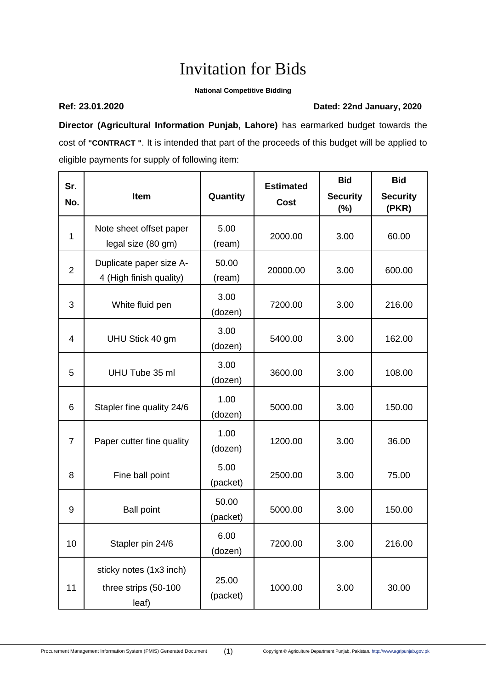## Invitation for Bids

## **National Competitive Bidding**

## **Ref: 23.01.2020 Dated: 22nd January, 2020**

**Director (Agricultural Information Punjab, Lahore)** has earmarked budget towards the cost of **"CONTRACT "**. It is intended that part of the proceeds of this budget will be applied to eligible payments for supply of following item:

| Sr.            | Item                                                     | Quantity          | <b>Estimated</b> | <b>Bid</b><br><b>Security</b> | <b>Bid</b><br><b>Security</b> |
|----------------|----------------------------------------------------------|-------------------|------------------|-------------------------------|-------------------------------|
| No.            |                                                          |                   | <b>Cost</b>      | $(\%)$                        | (PKR)                         |
| $\mathbf{1}$   | Note sheet offset paper<br>legal size (80 gm)            | 5.00<br>(ream)    | 2000.00          | 3.00                          | 60.00                         |
| $\overline{2}$ | Duplicate paper size A-<br>4 (High finish quality)       | 50.00<br>(ream)   | 20000.00         | 3.00                          | 600.00                        |
| 3              | White fluid pen                                          | 3.00<br>(dozen)   | 7200.00          | 3.00                          | 216.00                        |
| 4              | UHU Stick 40 gm                                          | 3.00<br>(dozen)   | 5400.00          | 3.00                          | 162.00                        |
| 5              | UHU Tube 35 ml                                           | 3.00<br>(dozen)   | 3600.00          | 3.00                          | 108.00                        |
| 6              | Stapler fine quality 24/6                                | 1.00<br>(dozen)   | 5000.00          | 3.00                          | 150.00                        |
| $\overline{7}$ | Paper cutter fine quality                                | 1.00<br>(dozen)   | 1200.00          | 3.00                          | 36.00                         |
| 8              | Fine ball point                                          | 5.00<br>(packet)  | 2500.00          | 3.00                          | 75.00                         |
| 9              | <b>Ball point</b>                                        | 50.00<br>(packet) | 5000.00          | 3.00                          | 150.00                        |
| 10             | Stapler pin 24/6                                         | 6.00<br>(dozen)   | 7200.00          | 3.00                          | 216.00                        |
| 11             | sticky notes (1x3 inch)<br>three strips (50-100<br>leaf) | 25.00<br>(packet) | 1000.00          | 3.00                          | 30.00                         |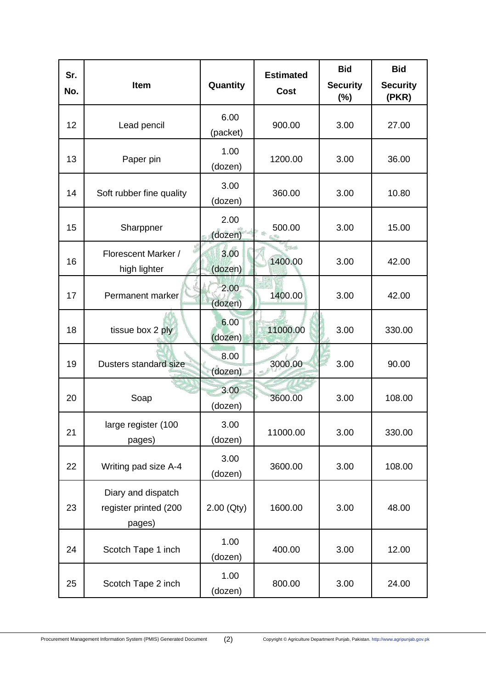| Sr.<br>No. | Item                                                  | Quantity         | <b>Estimated</b><br><b>Cost</b> | <b>Bid</b>                | <b>Bid</b>               |
|------------|-------------------------------------------------------|------------------|---------------------------------|---------------------------|--------------------------|
|            |                                                       |                  |                                 | <b>Security</b><br>$(\%)$ | <b>Security</b><br>(PKR) |
| 12         | Lead pencil                                           | 6.00<br>(packet) | 900.00                          | 3.00                      | 27.00                    |
| 13         | Paper pin                                             | 1.00<br>(dozen)  | 1200.00                         | 3.00                      | 36.00                    |
| 14         | Soft rubber fine quality                              | 3.00<br>(dozen)  | 360.00                          | 3.00                      | 10.80                    |
| 15         | Sharppner                                             | 2.00<br>(dozen)  | 500.00                          | 3.00                      | 15.00                    |
| 16         | Florescent Marker /<br>high lighter                   | 3.00<br>(dozen)  | ورواة<br>1400.00                | 3.00                      | 42.00                    |
| 17         | Permanent marker                                      | 2.00<br>(dozen)  | 1400.00                         | 3.00                      | 42.00                    |
| 18         | tissue box 2 ply                                      | 6.00<br>(dozen)  | 11000.00                        | 3.00                      | 330.00                   |
| 19         | Dusters standard size                                 | 8.00<br>(dozen)  | 3000.00                         | 3.00                      | 90.00                    |
| 20         | Soap                                                  | 3.00<br>(dozen)  | 3600.00                         | 3.00                      | 108.00                   |
| 21         | large register (100<br>pages)                         | 3.00<br>(dozen)  | 11000.00                        | 3.00                      | 330.00                   |
| 22         | Writing pad size A-4                                  | 3.00<br>(dozen)  | 3600.00                         | 3.00                      | 108.00                   |
| 23         | Diary and dispatch<br>register printed (200<br>pages) | 2.00 (Qty)       | 1600.00                         | 3.00                      | 48.00                    |
| 24         | Scotch Tape 1 inch                                    | 1.00<br>(dozen)  | 400.00                          | 3.00                      | 12.00                    |
| 25         | Scotch Tape 2 inch                                    | 1.00<br>(dozen)  | 800.00                          | 3.00                      | 24.00                    |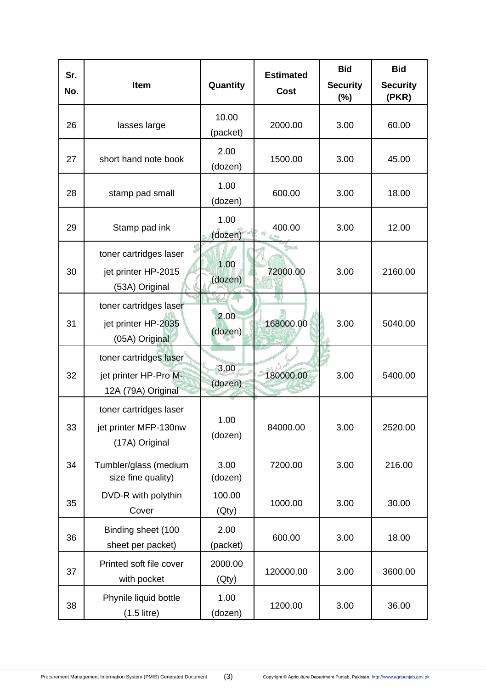| Sr.<br>No. | <b>Item</b>                                                           | Quantity          | <b>Estimated</b><br><b>Cost</b> | <b>Bid</b>                | <b>Bid</b>               |
|------------|-----------------------------------------------------------------------|-------------------|---------------------------------|---------------------------|--------------------------|
|            |                                                                       |                   |                                 | <b>Security</b><br>$(\%)$ | <b>Security</b><br>(PKR) |
| 26         | lasses large                                                          | 10.00<br>(packet) | 2000.00                         | 3.00                      | 60.00                    |
| 27         | short hand note book                                                  | 2.00<br>(dozen)   | 1500.00                         | 3.00                      | 45.00                    |
| 28         | stamp pad small                                                       | 1.00<br>(dozen)   | 600.00                          | 3.00                      | 18.00                    |
| 29         | Stamp pad ink                                                         | 1.00<br>(dozen)   | 400.00                          | 3.00                      | 12.00                    |
| 30         | toner cartridges laser<br>jet printer HP-2015<br>(53A) Original       | 1.00<br>(dozen)   | مدونا<br>72000.00               | 3.00                      | 2160.00                  |
| 31         | toner cartridges laser<br>jet printer HP-2035<br>(05A) Original       | 2.00<br>(dozen)   | 168000.00                       | 3.00                      | 5040.00                  |
| 32         | toner cartridges laser<br>jet printer HP-Pro M-<br>12A (79A) Original | 3.00<br>(dozen)   | 180000.00                       | 3.00                      | 5400.00                  |
| 33         | toner cartridges laser<br>jet printer MFP-130nw<br>(17A) Original     | 1.00<br>(dozen)   | 84000.00                        | 3.00                      | 2520.00                  |
| 34         | Tumbler/glass (medium<br>size fine quality)                           | 3.00<br>(dozen)   | 7200.00                         | 3.00                      | 216.00                   |
| 35         | DVD-R with polythin<br>Cover                                          | 100.00<br>(Qty)   | 1000.00                         | 3.00                      | 30.00                    |
| 36         | Binding sheet (100<br>sheet per packet)                               | 2.00<br>(packet)  | 600.00                          | 3.00                      | 18.00                    |
| 37         | Printed soft file cover<br>with pocket                                | 2000.00<br>(Qty)  | 120000.00                       | 3.00                      | 3600.00                  |
| 38         | Phynile liquid bottle<br>$(1.5$ litre)                                | 1.00<br>(dozen)   | 1200.00                         | 3.00                      | 36.00                    |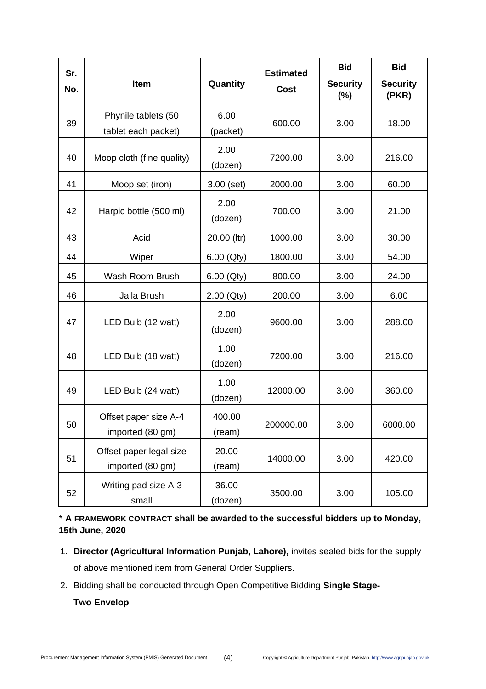| Sr.<br>No. | Item                                        | Quantity         | <b>Estimated</b><br><b>Cost</b> | <b>Bid</b><br><b>Security</b><br>(%) | <b>Bid</b><br><b>Security</b><br>(PKR) |
|------------|---------------------------------------------|------------------|---------------------------------|--------------------------------------|----------------------------------------|
| 39         | Phynile tablets (50<br>tablet each packet)  | 6.00<br>(packet) | 600.00                          | 3.00                                 | 18.00                                  |
| 40         | Moop cloth (fine quality)                   | 2.00<br>(dozen)  | 7200.00                         | 3.00                                 | 216.00                                 |
| 41         | Moop set (iron)                             | $3.00$ (set)     | 2000.00                         | 3.00                                 | 60.00                                  |
| 42         | Harpic bottle (500 ml)                      | 2.00<br>(dozen)  | 700.00                          | 3.00                                 | 21.00                                  |
| 43         | Acid                                        | 20.00 (ltr)      | 1000.00                         | 3.00                                 | 30.00                                  |
| 44         | Wiper                                       | 6.00 (Qty)       | 1800.00                         | 3.00                                 | 54.00                                  |
| 45         | Wash Room Brush                             | 6.00 (Qty)       | 800.00                          | 3.00                                 | 24.00                                  |
| 46         | Jalla Brush                                 | 2.00 (Qty)       | 200.00                          | 3.00                                 | 6.00                                   |
| 47         | LED Bulb (12 watt)                          | 2.00<br>(dozen)  | 9600.00                         | 3.00                                 | 288.00                                 |
| 48         | LED Bulb (18 watt)                          | 1.00<br>(dozen)  | 7200.00                         | 3.00                                 | 216.00                                 |
| 49         | LED Bulb (24 watt)                          | 1.00<br>(dozen)  | 12000.00                        | 3.00                                 | 360.00                                 |
| 50         | Offset paper size A-4<br>imported (80 gm)   | 400.00<br>(ream) | 200000.00                       | 3.00                                 | 6000.00                                |
| 51         | Offset paper legal size<br>imported (80 gm) | 20.00<br>(ream)  | 14000.00                        | 3.00                                 | 420.00                                 |
| 52         | Writing pad size A-3<br>small               | 36.00<br>(dozen) | 3500.00                         | 3.00                                 | 105.00                                 |

\* **A FRAMEWORK CONTRACT shall be awarded to the successful bidders up to Monday, 15th June, 2020**

- 1. **Director (Agricultural Information Punjab, Lahore),** invites sealed bids for the supply of above mentioned item from General Order Suppliers.
- 2. Bidding shall be conducted through Open Competitive Bidding **Single Stage-**

**Two Envelop**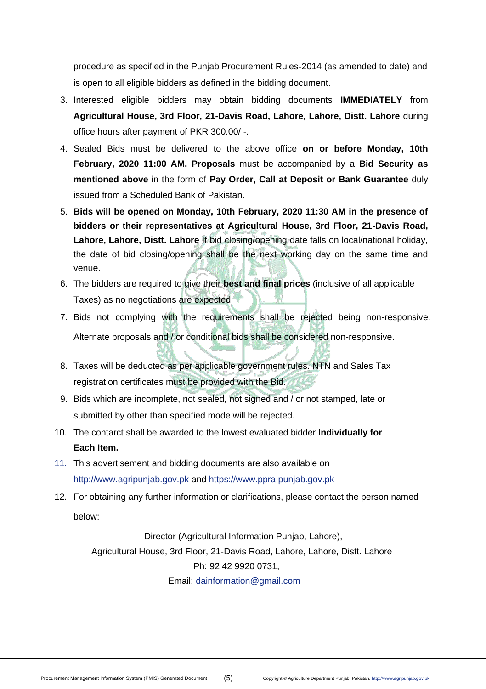procedure as specified in the Punjab Procurement Rules-2014 (as amended to date) and is open to all eligible bidders as defined in the bidding document.

- 3. Interested eligible bidders may obtain bidding documents **IMMEDIATELY** from **Agricultural House, 3rd Floor, 21-Davis Road, Lahore, Lahore, Distt. Lahore** during office hours after payment of PKR 300.00/ -.
- 4. Sealed Bids must be delivered to the above office **on or before Monday, 10th February, 2020 11:00 AM. Proposals** must be accompanied by a **Bid Security as mentioned above** in the form of **Pay Order, Call at Deposit or Bank Guarantee** duly issued from a Scheduled Bank of Pakistan.
- 5. **Bids will be opened on Monday, 10th February, 2020 11:30 AM in the presence of bidders or their representatives at Agricultural House, 3rd Floor, 21-Davis Road, Lahore, Lahore, Distt. Lahore** If bid closing/opening date falls on local/national holiday, the date of bid closing/opening shall be the next working day on the same time and venue.
- 6. The bidders are required to give their **best and final prices** (inclusive of all applicable Taxes) as no negotiations are expected.
- 7. Bids not complying with the requirements shall be rejected being non-responsive. Alternate proposals and / or conditional bids shall be considered non-responsive.
- 8. Taxes will be deducted as per applicable government rules. NTN and Sales Tax registration certificates must be provided with the Bid.
- 9. Bids which are incomplete, not sealed, not signed and / or not stamped, late or submitted by other than specified mode will be rejected.
- 10. The contarct shall be awarded to the lowest evaluated bidder **Individually for Each Item.**
- 11. This advertisement and bidding documents are also available on [http://www.agripunjab.gov.pk a](http://www.agripunjab.gov.pk/)nd [https://www.ppra.punjab.gov.pk](https://www.ppra.punjab.gov.pk/)
- 12. For obtaining any further information or clarifications, please contact the person named below:

Director (Agricultural Information Punjab, Lahore), Agricultural House, 3rd Floor, 21-Davis Road, Lahore, Lahore, Distt. Lahore Ph: 92 42 9920 0731, Email: [dainformation@gmail.com](mailto:dainformation@gmail.com)